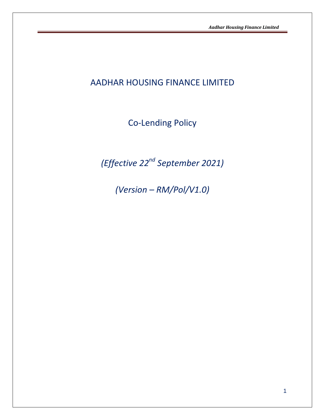# AADHAR HOUSING FINANCE LIMITED

Co-Lending Policy

*(Effective 22nd September 2021)*

*(Version – RM/Pol/V1.0)*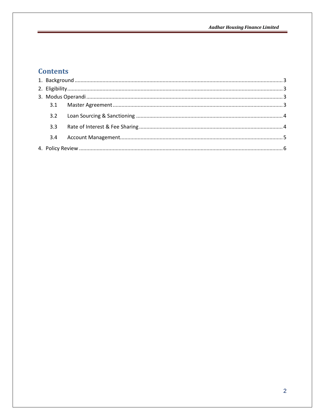# **Contents**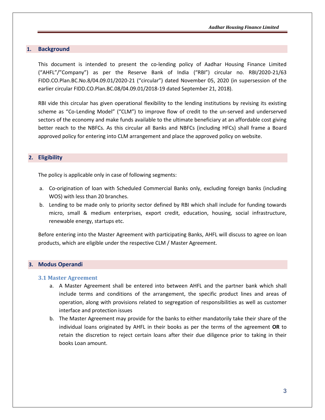## <span id="page-2-0"></span>**1. Background**

This document is intended to present the co-lending policy of Aadhar Housing Finance Limited ("AHFL"/"Company") as per the Reserve Bank of India ("RBI") circular no. RBI/2020-21/63 FIDD.CO.Plan.BC.No.8/04.09.01/2020-21 ("circular") dated November 05, 2020 (in supersession of the earlier circular FIDD.CO.Plan.BC.08/04.09.01/2018-19 dated September 21, 2018).

RBI vide this circular has given operational flexibility to the lending institutions by revising its existing scheme as "Co-Lending Model" ("CLM") to improve flow of credit to the un-served and underserved sectors of the economy and make funds available to the ultimate beneficiary at an affordable cost giving better reach to the NBFCs. As this circular all Banks and NBFCs (including HFCs) shall frame a Board approved policy for entering into CLM arrangement and place the approved policy on website.

## <span id="page-2-1"></span>**2. Eligibility**

The policy is applicable only in case of following segments:

- a. Co-origination of loan with Scheduled Commercial Banks only, excluding foreign banks (including WOS) with less than 20 branches.
- b. Lending to be made only to priority sector defined by RBI which shall include for funding towards micro, small & medium enterprises, export credit, education, housing, social infrastructure, renewable energy, startups etc.

Before entering into the Master Agreement with participating Banks, AHFL will discuss to agree on loan products, which are eligible under the respective CLM / Master Agreement.

### <span id="page-2-2"></span>**3. Modus Operandi**

#### <span id="page-2-3"></span>**3.1 Master Agreement**

- a. A Master Agreement shall be entered into between AHFL and the partner bank which shall include terms and conditions of the arrangement, the specific product lines and areas of operation, along with provisions related to segregation of responsibilities as well as customer interface and protection issues
- b. The Master Agreement may provide for the banks to either mandatorily take their share of the individual loans originated by AHFL in their books as per the terms of the agreement **OR** to retain the discretion to reject certain loans after their due diligence prior to taking in their books Loan amount.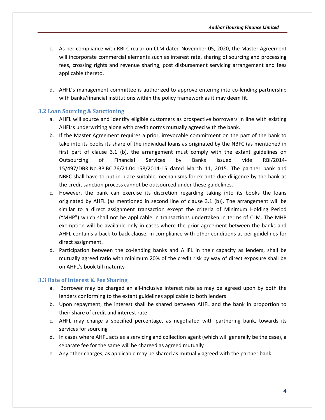- c. As per compliance with RBI Circular on CLM dated November 05, 2020, the Master Agreement will incorporate commercial elements such as interest rate, sharing of sourcing and processing fees, crossing rights and revenue sharing, post disbursement servicing arrangement and fees applicable thereto.
- d. AHFL's management committee is authorized to approve entering into co-lending partnership with banks/financial institutions within the policy framework as it may deem fit.

## <span id="page-3-0"></span>**3.2 Loan Sourcing & Sanctioning**

- a. AHFL will source and identify eligible customers as prospective borrowers in line with existing AHFL's underwriting along with credit norms mutually agreed with the bank.
- b. If the Master Agreement requires a prior, irrevocable commitment on the part of the bank to take into its books its share of the individual loans as originated by the NBFC (as mentioned in first part of clause 3.1 (b), the arrangement must comply with the extant guidelines on Outsourcing of Financial Services by Banks issued vide RBI/2014- 15/497/DBR.No.BP.BC.76/21.04.158/2014-15 dated March 11, 2015. The partner bank and NBFC shall have to put in place suitable mechanisms for ex-ante due diligence by the bank as the credit sanction process cannot be outsourced under these guidelines.
- c. However, the bank can exercise its discretion regarding taking into its books the loans originated by AHFL (as mentioned in second line of clause 3.1 (b)). The arrangement will be similar to a direct assignment transaction except the criteria of Minimum Holding Period ("MHP") which shall not be applicable in transactions undertaken in terms of CLM. The MHP exemption will be available only in cases where the prior agreement between the banks and AHFL contains a back-to-back clause, in compliance with other conditions as per guidelines for direct assignment.
- d. Participation between the co-lending banks and AHFL in their capacity as lenders, shall be mutually agreed ratio with minimum 20% of the credit risk by way of direct exposure shall be on AHFL's book till maturity

## <span id="page-3-1"></span>**3.3 Rate of Interest & Fee Sharing**

- a. Borrower may be charged an all-inclusive interest rate as may be agreed upon by both the lenders conforming to the extant guidelines applicable to both lenders
- b. Upon repayment, the interest shall be shared between AHFL and the bank in proportion to their share of credit and interest rate
- c. AHFL may charge a specified percentage, as negotiated with partnering bank, towards its services for sourcing
- d. In cases where AHFL acts as a servicing and collection agent (which will generally be the case), a separate fee for the same will be charged as agreed mutually
- e. Any other charges, as applicable may be shared as mutually agreed with the partner bank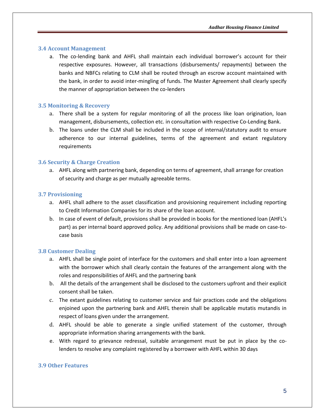#### <span id="page-4-0"></span>**3.4 Account Management**

a. The co-lending bank and AHFL shall maintain each individual borrower's account for their respective exposures. However, all transactions (disbursements/ repayments) between the banks and NBFCs relating to CLM shall be routed through an escrow account maintained with the bank, in order to avoid inter-mingling of funds. The Master Agreement shall clearly specify the manner of appropriation between the co-lenders

#### **3.5 Monitoring & Recovery**

- a. There shall be a system for regular monitoring of all the process like loan origination, loan management, disbursements, collection etc. in consultation with respective Co-Lending Bank.
- b. The loans under the CLM shall be included in the scope of internal/statutory audit to ensure adherence to our internal guidelines, terms of the agreement and extant regulatory requirements

#### **3.6 Security & Charge Creation**

a. AHFL along with partnering bank, depending on terms of agreement, shall arrange for creation of security and charge as per mutually agreeable terms.

#### **3.7 Provisioning**

- a. AHFL shall adhere to the asset classification and provisioning requirement including reporting to Credit Information Companies for its share of the loan account.
- b. In case of event of default, provisions shall be provided in books for the mentioned loan (AHFL's part) as per internal board approved policy. Any additional provisions shall be made on case-tocase basis

### **3.8 Customer Dealing**

- a. AHFL shall be single point of interface for the customers and shall enter into a loan agreement with the borrower which shall clearly contain the features of the arrangement along with the roles and responsibilities of AHFL and the partnering bank
- b. All the details of the arrangement shall be disclosed to the customers upfront and their explicit consent shall be taken.
- c. The extant guidelines relating to customer service and fair practices code and the obligations enjoined upon the partnering bank and AHFL therein shall be applicable mutatis mutandis in respect of loans given under the arrangement.
- d. AHFL should be able to generate a single unified statement of the customer, through appropriate information sharing arrangements with the bank.
- e. With regard to grievance redressal, suitable arrangement must be put in place by the colenders to resolve any complaint registered by a borrower with AHFL within 30 days

## **3.9 Other Features**